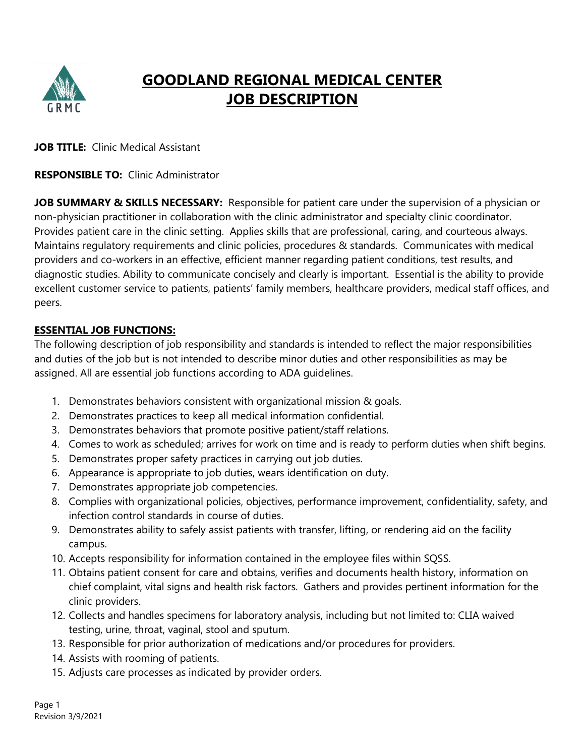

# **GOODLAND REGIONAL MEDICAL CENTER JOB DESCRIPTION**

**JOB TITLE: Clinic Medical Assistant** 

**RESPONSIBLE TO:** Clinic Administrator

**JOB SUMMARY & SKILLS NECESSARY:** Responsible for patient care under the supervision of a physician or non-physician practitioner in collaboration with the clinic administrator and specialty clinic coordinator. Provides patient care in the clinic setting. Applies skills that are professional, caring, and courteous always. Maintains regulatory requirements and clinic policies, procedures & standards. Communicates with medical providers and co-workers in an effective, efficient manner regarding patient conditions, test results, and diagnostic studies. Ability to communicate concisely and clearly is important. Essential is the ability to provide excellent customer service to patients, patients' family members, healthcare providers, medical staff offices, and peers.

## **ESSENTIAL JOB FUNCTIONS:**

The following description of job responsibility and standards is intended to reflect the major responsibilities and duties of the job but is not intended to describe minor duties and other responsibilities as may be assigned. All are essential job functions according to ADA guidelines.

- 1. Demonstrates behaviors consistent with organizational mission & goals.
- 2. Demonstrates practices to keep all medical information confidential.
- 3. Demonstrates behaviors that promote positive patient/staff relations.
- 4. Comes to work as scheduled; arrives for work on time and is ready to perform duties when shift begins.
- 5. Demonstrates proper safety practices in carrying out job duties.
- 6. Appearance is appropriate to job duties, wears identification on duty.
- 7. Demonstrates appropriate job competencies.
- 8. Complies with organizational policies, objectives, performance improvement, confidentiality, safety, and infection control standards in course of duties.
- 9. Demonstrates ability to safely assist patients with transfer, lifting, or rendering aid on the facility campus.
- 10. Accepts responsibility for information contained in the employee files within SQSS.
- 11. Obtains patient consent for care and obtains, verifies and documents health history, information on chief complaint, vital signs and health risk factors. Gathers and provides pertinent information for the clinic providers.
- 12. Collects and handles specimens for laboratory analysis, including but not limited to: CLIA waived testing, urine, throat, vaginal, stool and sputum.
- 13. Responsible for prior authorization of medications and/or procedures for providers.
- 14. Assists with rooming of patients.
- 15. Adjusts care processes as indicated by provider orders.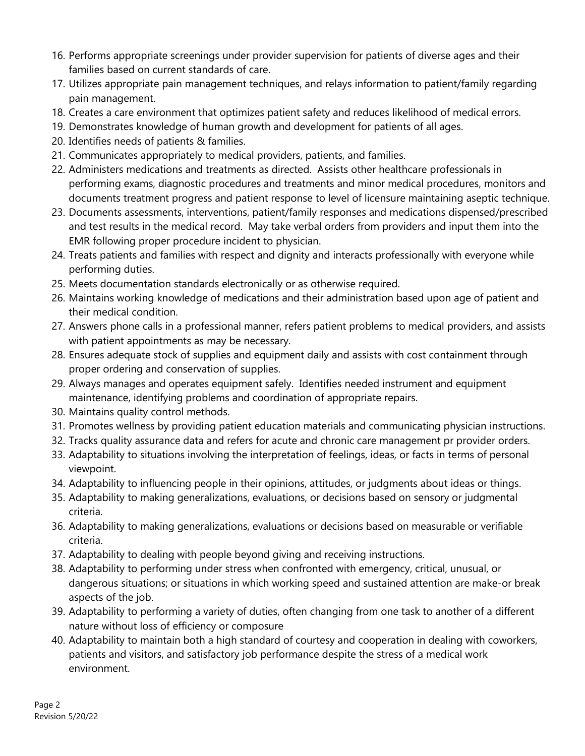- 16. Performs appropriate screenings under provider supervision for patients of diverse ages and their families based on current standards of care.
- 17. Utilizes appropriate pain management techniques, and relays information to patient/family regarding pain management.
- 18. Creates a care environment that optimizes patient safety and reduces likelihood of medical errors.
- 19. Demonstrates knowledge of human growth and development for patients of all ages.
- 20. Identifies needs of patients & families.
- 21. Communicates appropriately to medical providers, patients, and families.
- 22. Administers medications and treatments as directed. Assists other healthcare professionals in performing exams, diagnostic procedures and treatments and minor medical procedures, monitors and documents treatment progress and patient response to level of licensure maintaining aseptic technique.
- 23. Documents assessments, interventions, patient/family responses and medications dispensed/prescribed and test results in the medical record. May take verbal orders from providers and input them into the EMR following proper procedure incident to physician.
- 24. Treats patients and families with respect and dignity and interacts professionally with everyone while performing duties.
- 25. Meets documentation standards electronically or as otherwise required.
- 26. Maintains working knowledge of medications and their administration based upon age of patient and their medical condition.
- 27. Answers phone calls in a professional manner, refers patient problems to medical providers, and assists with patient appointments as may be necessary.
- 28. Ensures adequate stock of supplies and equipment daily and assists with cost containment through proper ordering and conservation of supplies.
- 29. Always manages and operates equipment safely. Identifies needed instrument and equipment maintenance, identifying problems and coordination of appropriate repairs.
- 30. Maintains quality control methods.
- 31. Promotes wellness by providing patient education materials and communicating physician instructions.
- 32. Tracks quality assurance data and refers for acute and chronic care management pr provider orders.
- 33. Adaptability to situations involving the interpretation of feelings, ideas, or facts in terms of personal viewpoint.
- 34. Adaptability to influencing people in their opinions, attitudes, or judgments about ideas or things.
- 35. Adaptability to making generalizations, evaluations, or decisions based on sensory or judgmental criteria.
- 36. Adaptability to making generalizations, evaluations or decisions based on measurable or verifiable criteria.
- 37. Adaptability to dealing with people beyond giving and receiving instructions.
- 38. Adaptability to performing under stress when confronted with emergency, critical, unusual, or dangerous situations; or situations in which working speed and sustained attention are make-or break aspects of the job.
- 39. Adaptability to performing a variety of duties, often changing from one task to another of a different nature without loss of efficiency or composure
- 40. Adaptability to maintain both a high standard of courtesy and cooperation in dealing with coworkers, patients and visitors, and satisfactory job performance despite the stress of a medical work environment.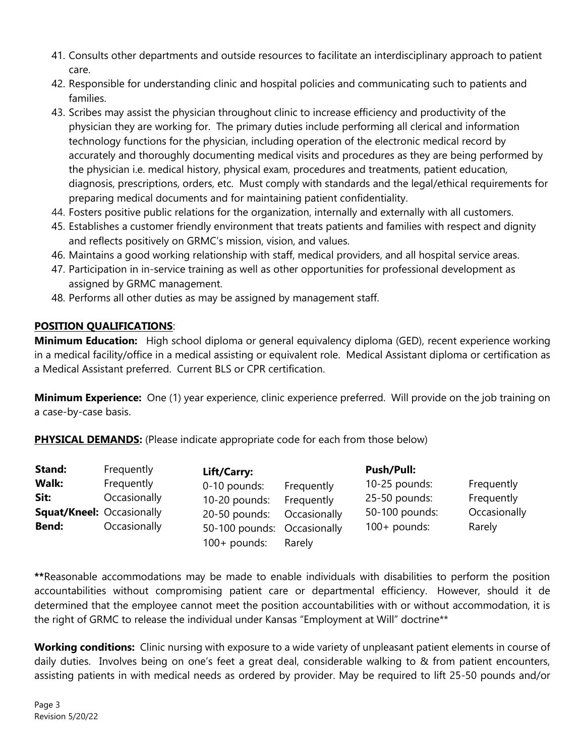- 41. Consults other departments and outside resources to facilitate an interdisciplinary approach to patient care.
- 42. Responsible for understanding clinic and hospital policies and communicating such to patients and families.
- 43. Scribes may assist the physician throughout clinic to increase efficiency and productivity of the physician they are working for. The primary duties include performing all clerical and information technology functions for the physician, including operation of the electronic medical record by accurately and thoroughly documenting medical visits and procedures as they are being performed by the physician i.e. medical history, physical exam, procedures and treatments, patient education, diagnosis, prescriptions, orders, etc. Must comply with standards and the legal/ethical requirements for preparing medical documents and for maintaining patient confidentiality.
- 44. Fosters positive public relations for the organization, internally and externally with all customers.
- 45. Establishes a customer friendly environment that treats patients and families with respect and dignity and reflects positively on GRMC's mission, vision, and values.
- 46. Maintains a good working relationship with staff, medical providers, and all hospital service areas.
- 47. Participation in in-service training as well as other opportunities for professional development as assigned by GRMC management.
- 48. Performs all other duties as may be assigned by management staff.

## **POSITION QUALIFICATIONS**:

**Minimum Education:** High school diploma or general equivalency diploma (GED), recent experience working in a medical facility/office in a medical assisting or equivalent role. Medical Assistant diploma or certification as a Medical Assistant preferred. Current BLS or CPR certification.

**Minimum Experience:** One (1) year experience, clinic experience preferred. Will provide on the job training on a case-by-case basis.

**PHYSICAL DEMANDS:** (Please indicate appropriate code for each from those below)

| Stand:                           | Frequently   | Lift/Carry:                 |              | <b>Push/Pull:</b> |              |
|----------------------------------|--------------|-----------------------------|--------------|-------------------|--------------|
| Walk:                            | Frequently   | $0-10$ pounds:              | Frequently   | $10-25$ pounds:   | Frequently   |
| Sit:                             | Occasionally | $10-20$ pounds:             | Frequently   | 25-50 pounds:     | Frequently   |
| <b>Squat/Kneel: Occasionally</b> |              | 20-50 pounds:               | Occasionally | 50-100 pounds:    | Occasionally |
| Bend:                            | Occasionally | 50-100 pounds: Occasionally |              | $100+$ pounds:    | Rarely       |
|                                  |              | $100+$ pounds:              | Rarely       |                   |              |

**\*\***Reasonable accommodations may be made to enable individuals with disabilities to perform the position accountabilities without compromising patient care or departmental efficiency. However, should it de determined that the employee cannot meet the position accountabilities with or without accommodation, it is the right of GRMC to release the individual under Kansas "Employment at Will" doctrine\*\*

**Working conditions:** Clinic nursing with exposure to a wide variety of unpleasant patient elements in course of daily duties. Involves being on one's feet a great deal, considerable walking to & from patient encounters, assisting patients in with medical needs as ordered by provider. May be required to lift 25-50 pounds and/or